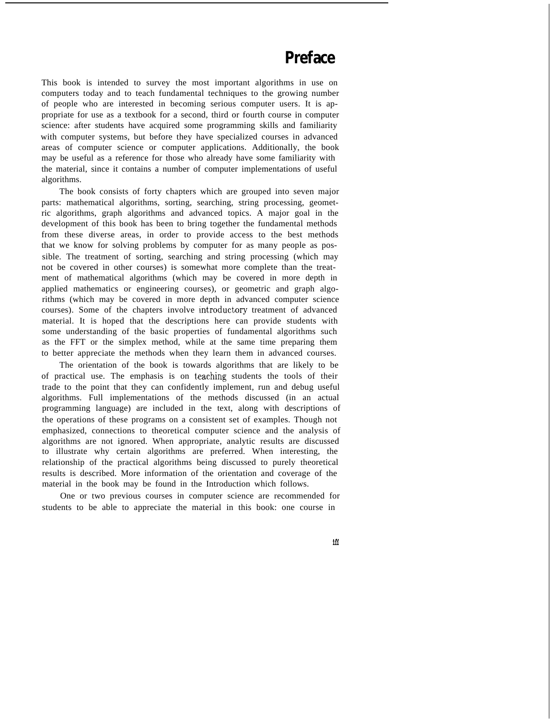## **Preface**

This book is intended to survey the most important algorithms in use on computers today and to teach fundamental techniques to the growing number of people who are interested in becoming serious computer users. It is appropriate for use as a textbook for a second, third or fourth course in computer science: after students have acquired some programming skills and familiarity with computer systems, but before they have specialized courses in advanced areas of computer science or computer applications. Additionally, the book may be useful as a reference for those who already have some familiarity with the material, since it contains a number of computer implementations of useful algorithms.

The book consists of forty chapters which are grouped into seven major parts: mathematical algorithms, sorting, searching, string processing, geometric algorithms, graph algorithms and advanced topics. A major goal in the development of this book has been to bring together the fundamental methods from these diverse areas, in order to provide access to the best methods that we know for solving problems by computer for as many people as possible. The treatment of sorting, searching and string processing (which may not be covered in other courses) is somewhat more complete than the treatment of mathematical algorithms (which may be covered in more depth in applied mathematics or engineering courses), or geometric and graph algorithms (which may be covered in more depth in advanced computer science courses). Some of the chapters involve introductory treatment of advanced material. It is hoped that the descriptions here can provide students with some understanding of the basic properties of fundamental algorithms such as the FFT or the simplex method, while at the same time preparing them to better appreciate the methods when they learn them in advanced courses.

The orientation of the book is towards algorithms that are likely to be of practical use. The emphasis is on teaching students the tools of their trade to the point that they can confidently implement, run and debug useful algorithms. Full implementations of the methods discussed (in an actual programming language) are included in the text, along with descriptions of the operations of these programs on a consistent set of examples. Though not emphasized, connections to theoretical computer science and the analysis of algorithms are not ignored. When appropriate, analytic results are discussed to illustrate why certain algorithms are preferred. When interesting, the relationship of the practical algorithms being discussed to purely theoretical results is described. More information of the orientation and coverage of the material in the book may be found in the Introduction which follows.

One or two previous courses in computer science are recommended for students to be able to appreciate the material in this book: one course in

. . . **111**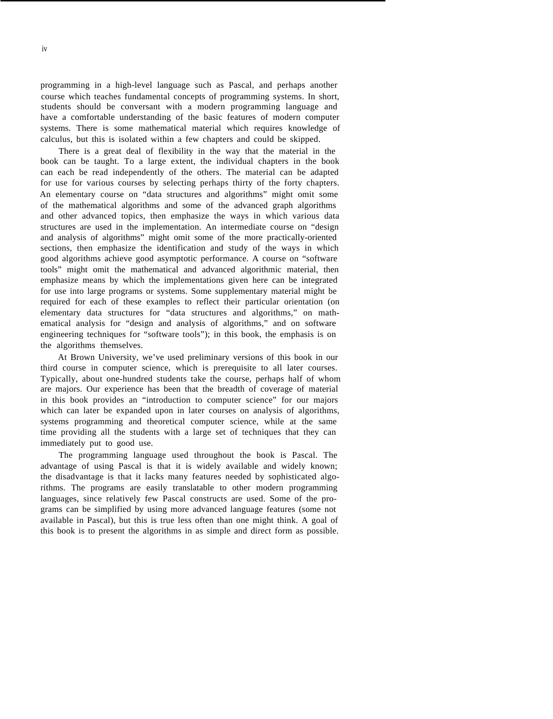programming in a high-level language such as Pascal, and perhaps another course which teaches fundamental concepts of programming systems. In short, students should be conversant with a modern programming language and have a comfortable understanding of the basic features of modern computer systems. There is some mathematical material which requires knowledge of calculus, but this is isolated within a few chapters and could be skipped.

There is a great deal of flexibility in the way that the material in the book can be taught. To a large extent, the individual chapters in the book can each be read independently of the others. The material can be adapted for use for various courses by selecting perhaps thirty of the forty chapters. An elementary course on "data structures and algorithms" might omit some of the mathematical algorithms and some of the advanced graph algorithms and other advanced topics, then emphasize the ways in which various data structures are used in the implementation. An intermediate course on "design and analysis of algorithms" might omit some of the more practically-oriented sections, then emphasize the identification and study of the ways in which good algorithms achieve good asymptotic performance. A course on "software tools" might omit the mathematical and advanced algorithmic material, then emphasize means by which the implementations given here can be integrated for use into large programs or systems. Some supplementary material might be required for each of these examples to reflect their particular orientation (on elementary data structures for "data structures and algorithms," on mathematical analysis for "design and analysis of algorithms," and on software engineering techniques for "software tools"); in this book, the emphasis is on the algorithms themselves.

At Brown University, we've used preliminary versions of this book in our third course in computer science, which is prerequisite to all later courses. Typically, about one-hundred students take the course, perhaps half of whom are majors. Our experience has been that the breadth of coverage of material in this book provides an "introduction to computer science" for our majors which can later be expanded upon in later courses on analysis of algorithms, systems programming and theoretical computer science, while at the same time providing all the students with a large set of techniques that they can immediately put to good use.

The programming language used throughout the book is Pascal. The advantage of using Pascal is that it is widely available and widely known; the disadvantage is that it lacks many features needed by sophisticated algorithms. The programs are easily translatable to other modern programming languages, since relatively few Pascal constructs are used. Some of the programs can be simplified by using more advanced language features (some not available in Pascal), but this is true less often than one might think. A goal of this book is to present the algorithms in as simple and direct form as possible.